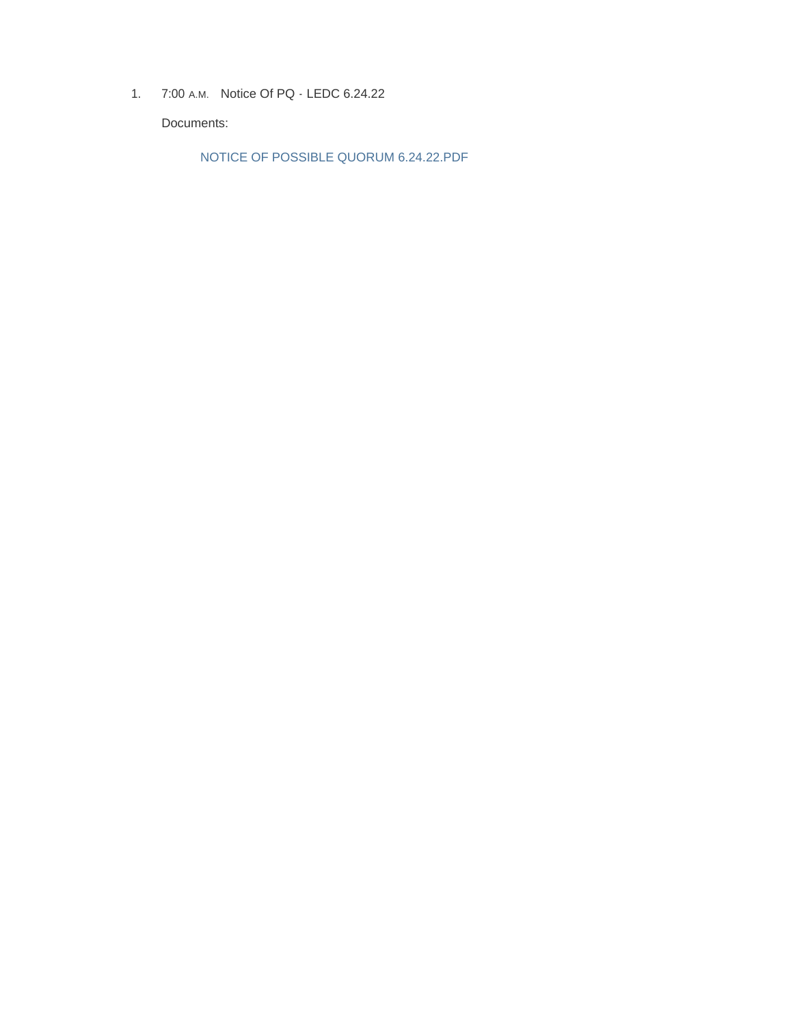1. 7:00 A.M. Notice Of PQ - LEDC 6.24.22

Documents:

NOTICE OF POSSIBLE QUORUM 6.24.22.PDF